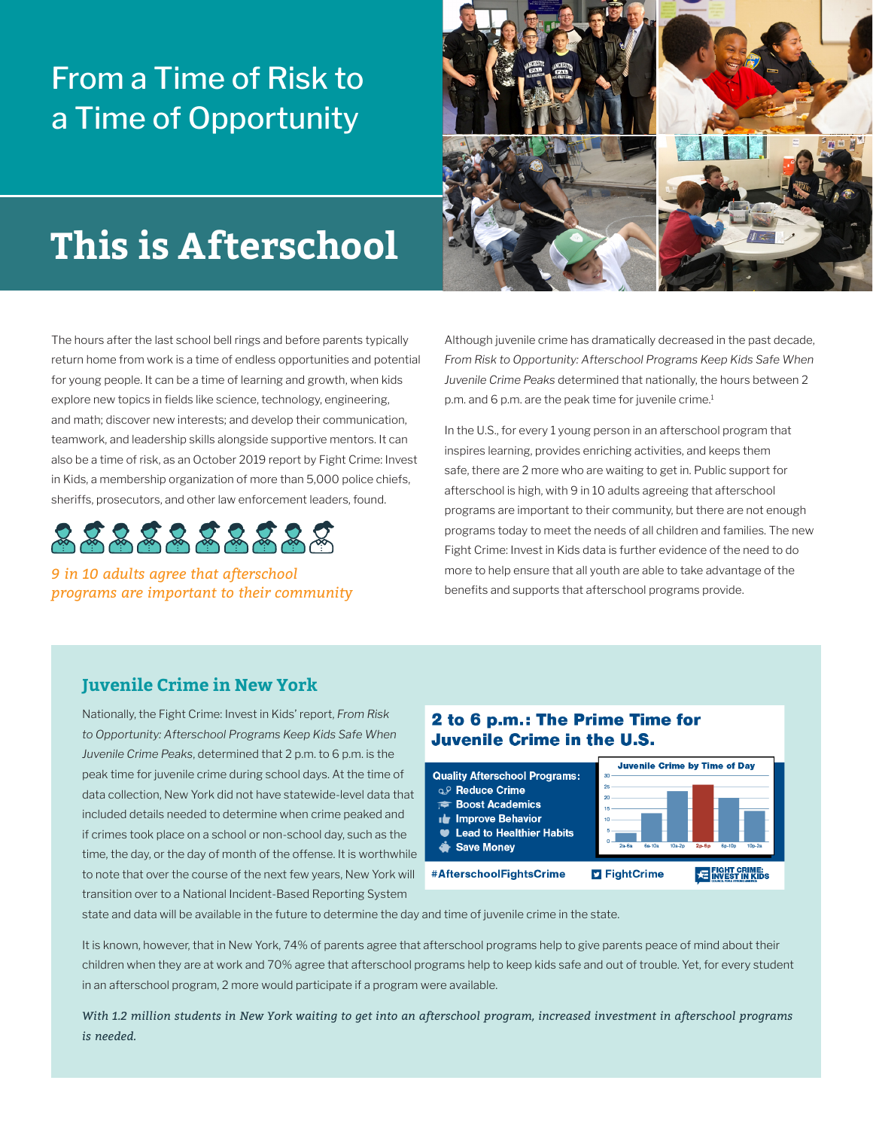## From a Time of Risk to a Time of Opportunity



# **This is Afterschool**

The hours after the last school bell rings and before parents typically return home from work is a time of endless opportunities and potential for young people. It can be a time of learning and growth, when kids explore new topics in fields like science, technology, engineering, and math; discover new interests; and develop their communication, teamwork, and leadership skills alongside supportive mentors. It can also be a time of risk, as an October 2019 report by Fight Crime: Invest in Kids, a membership organization of more than 5,000 police chiefs, sheriffs, prosecutors, and other law enforcement leaders, found.



*9 in 10 adults agree that afterschool programs are important to their community* Although juvenile crime has dramatically decreased in the past decade, *From Risk to Opportunity: Afterschool Programs Keep Kids Safe When Juvenile Crime Peaks* determined that nationally, the hours between 2 p.m. and 6 p.m. are the peak time for juvenile crime.<sup>1</sup>

In the U.S., for every 1 young person in an afterschool program that inspires learning, provides enriching activities, and keeps them safe, there are 2 more who are waiting to get in. Public support for afterschool is high, with 9 in 10 adults agreeing that afterschool programs are important to their community, but there are not enough programs today to meet the needs of all children and families. The new Fight Crime: Invest in Kids data is further evidence of the need to do more to help ensure that all youth are able to take advantage of the benefits and supports that afterschool programs provide.

#### **Juvenile Crime in New York**

Nationally, the Fight Crime: Invest in Kids' report, *From Risk to Opportunity: Afterschool Programs Keep Kids Safe When Juvenile Crime Peaks*, determined that 2 p.m. to 6 p.m. is the peak time for juvenile crime during school days. At the time of data collection, New York did not have statewide-level data that included details needed to determine when crime peaked and if crimes took place on a school or non-school day, such as the time, the day, or the day of month of the offense. It is worthwhile to note that over the course of the next few years, New York will transition over to a National Incident-Based Reporting System

#### 2 to 6 p.m.: The Prime Time for **Juvenile Crime in the U.S.**



state and data will be available in the future to determine the day and time of juvenile crime in the state.

It is known, however, that in New York, 74% of parents agree that afterschool programs help to give parents peace of mind about their children when they are at work and 70% agree that afterschool programs help to keep kids safe and out of trouble. Yet, for every student in an afterschool program, 2 more would participate if a program were available.

*With 1.2 million students in New York waiting to get into an afterschool program, increased investment in afterschool programs is needed.*